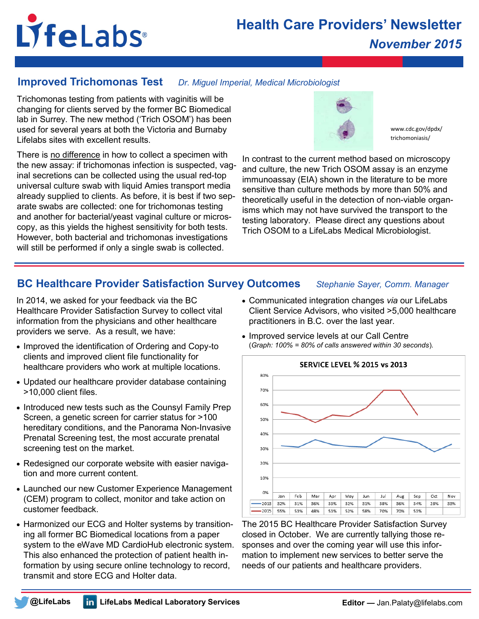# LifeLabs®

# **Health Care Providers' Newsletter** *November 2015*

# **Improved Trichomonas Test** *Dr. Miguel Imperial, Medical Microbiologist*

Trichomonas testing from patients with vaginitis will be changing for clients served by the former BC Biomedical lab in Surrey. The new method ('Trich OSOM') has been used for several years at both the Victoria and Burnaby Lifelabs sites with excellent results.

There is no difference in how to collect a specimen with the new assay: if trichomonas infection is suspected, vaginal secretions can be collected using the usual red-top universal culture swab with liquid Amies transport media already supplied to clients. As before, it is best if two separate swabs are collected: one for trichomonas testing and another for bacterial/yeast vaginal culture or microscopy, as this yields the highest sensitivity for both tests. However, both bacterial and trichomonas investigations will still be performed if only a single swab is collected.



www.cdc.gov/dpdx/ trichomoniasis/

In contrast to the current method based on microscopy and culture, the new Trich OSOM assay is an enzyme immunoassay (EIA) shown in the literature to be more sensitive than culture methods by more than 50% and theoretically useful in the detection of non-viable organisms which may not have survived the transport to the testing laboratory. Please direct any questions about Trich OSOM to a LifeLabs Medical Microbiologist.

# **BC Healthcare Provider Satisfaction Survey Outcomes** *Stephanie Sayer, Comm. Manager*

In 2014, we asked for your feedback via the BC Healthcare Provider Satisfaction Survey to collect vital information from the physicians and other healthcare providers we serve. As a result, we have:

- Improved the identification of Ordering and Copy-to clients and improved client file functionality for healthcare providers who work at multiple locations.
- Updated our healthcare provider database containing >10,000 client files.
- Introduced new tests such as the Counsyl Family Prep Screen, a genetic screen for carrier status for >100 hereditary conditions, and the Panorama Non-Invasive Prenatal Screening test, the most accurate prenatal screening test on the market.
- Redesigned our corporate website with easier navigation and more current content.
- Launched our new Customer Experience Management (CEM) program to collect, monitor and take action on customer feedback.
- Harmonized our ECG and Holter systems by transitioning all former BC Biomedical locations from a paper system to the eWave MD CardioHub electronic system. This also enhanced the protection of patient health information by using secure online technology to record, transmit and store ECG and Holter data.

- Communicated integration changes *via* our LifeLabs Client Service Advisors, who visited >5,000 healthcare practitioners in B.C. over the last year.
- Improved service levels at our Call Centre (*Graph: 100% = 80% of calls answered within 30 seconds*).



The 2015 BC Healthcare Provider Satisfaction Survey closed in October. We are currently tallying those responses and over the coming year will use this information to implement new services to better serve the needs of our patients and healthcare providers.